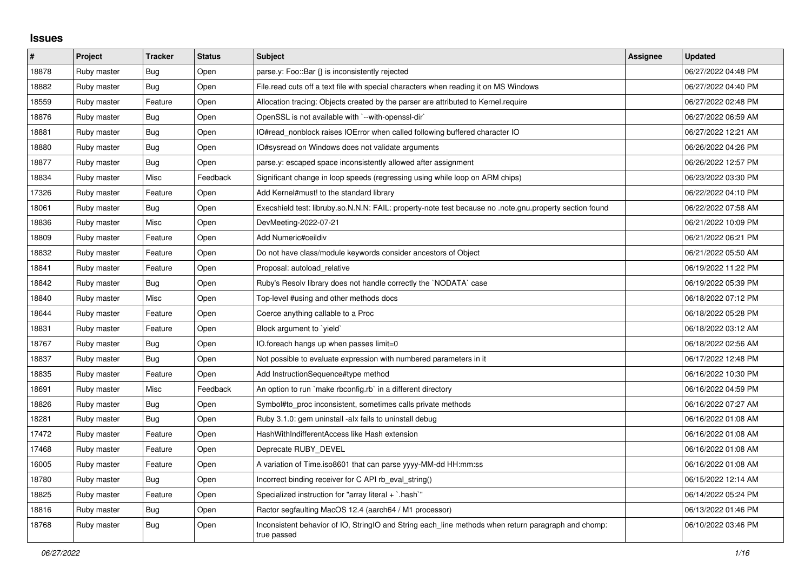## **Issues**

| #     | Project     | <b>Tracker</b> | <b>Status</b> | <b>Subject</b>                                                                                                      | Assignee | <b>Updated</b>      |
|-------|-------------|----------------|---------------|---------------------------------------------------------------------------------------------------------------------|----------|---------------------|
| 18878 | Ruby master | <b>Bug</b>     | Open          | parse.y: Foo::Bar {} is inconsistently rejected                                                                     |          | 06/27/2022 04:48 PM |
| 18882 | Ruby master | <b>Bug</b>     | Open          | File.read cuts off a text file with special characters when reading it on MS Windows                                |          | 06/27/2022 04:40 PM |
| 18559 | Ruby master | Feature        | Open          | Allocation tracing: Objects created by the parser are attributed to Kernel.require                                  |          | 06/27/2022 02:48 PM |
| 18876 | Ruby master | <b>Bug</b>     | Open          | OpenSSL is not available with `--with-openssl-dir`                                                                  |          | 06/27/2022 06:59 AM |
| 18881 | Ruby master | Bug            | Open          | IO#read nonblock raises IOError when called following buffered character IO                                         |          | 06/27/2022 12:21 AM |
| 18880 | Ruby master | Bug            | Open          | IO#sysread on Windows does not validate arguments                                                                   |          | 06/26/2022 04:26 PM |
| 18877 | Ruby master | Bug            | Open          | parse y: escaped space inconsistently allowed after assignment                                                      |          | 06/26/2022 12:57 PM |
| 18834 | Ruby master | Misc           | Feedback      | Significant change in loop speeds (regressing using while loop on ARM chips)                                        |          | 06/23/2022 03:30 PM |
| 17326 | Ruby master | Feature        | Open          | Add Kernel#must! to the standard library                                                                            |          | 06/22/2022 04:10 PM |
| 18061 | Ruby master | Bug            | Open          | note.gnu.property section found four so.N.N.N: FAIL: property-note test because no .note.gnu.property section found |          | 06/22/2022 07:58 AM |
| 18836 | Ruby master | Misc           | Open          | DevMeeting-2022-07-21                                                                                               |          | 06/21/2022 10:09 PM |
| 18809 | Ruby master | Feature        | Open          | Add Numeric#ceildiv                                                                                                 |          | 06/21/2022 06:21 PM |
| 18832 | Ruby master | Feature        | Open          | Do not have class/module keywords consider ancestors of Object                                                      |          | 06/21/2022 05:50 AM |
| 18841 | Ruby master | Feature        | Open          | Proposal: autoload relative                                                                                         |          | 06/19/2022 11:22 PM |
| 18842 | Ruby master | Bug            | Open          | Ruby's Resolv library does not handle correctly the `NODATA` case                                                   |          | 06/19/2022 05:39 PM |
| 18840 | Ruby master | Misc           | Open          | Top-level #using and other methods docs                                                                             |          | 06/18/2022 07:12 PM |
| 18644 | Ruby master | Feature        | Open          | Coerce anything callable to a Proc                                                                                  |          | 06/18/2022 05:28 PM |
| 18831 | Ruby master | Feature        | Open          | Block argument to 'yield'                                                                                           |          | 06/18/2022 03:12 AM |
| 18767 | Ruby master | <b>Bug</b>     | Open          | IO.foreach hangs up when passes limit=0                                                                             |          | 06/18/2022 02:56 AM |
| 18837 | Ruby master | Bug            | Open          | Not possible to evaluate expression with numbered parameters in it                                                  |          | 06/17/2022 12:48 PM |
| 18835 | Ruby master | Feature        | Open          | Add InstructionSequence#type method                                                                                 |          | 06/16/2022 10:30 PM |
| 18691 | Ruby master | Misc           | Feedback      | An option to run `make rbconfig.rb` in a different directory                                                        |          | 06/16/2022 04:59 PM |
| 18826 | Ruby master | <b>Bug</b>     | Open          | Symbol#to_proc inconsistent, sometimes calls private methods                                                        |          | 06/16/2022 07:27 AM |
| 18281 | Ruby master | Bug            | Open          | Ruby 3.1.0: gem uninstall -alx fails to uninstall debug                                                             |          | 06/16/2022 01:08 AM |
| 17472 | Ruby master | Feature        | Open          | HashWithIndifferentAccess like Hash extension                                                                       |          | 06/16/2022 01:08 AM |
| 17468 | Ruby master | Feature        | Open          | Deprecate RUBY DEVEL                                                                                                |          | 06/16/2022 01:08 AM |
| 16005 | Ruby master | Feature        | Open          | A variation of Time.iso8601 that can parse yyyy-MM-dd HH:mm:ss                                                      |          | 06/16/2022 01:08 AM |
| 18780 | Ruby master | <b>Bug</b>     | Open          | Incorrect binding receiver for C API rb_eval_string()                                                               |          | 06/15/2022 12:14 AM |
| 18825 | Ruby master | Feature        | Open          | Specialized instruction for "array literal + `.hash`"                                                               |          | 06/14/2022 05:24 PM |
| 18816 | Ruby master | <b>Bug</b>     | Open          | Ractor segfaulting MacOS 12.4 (aarch64 / M1 processor)                                                              |          | 06/13/2022 01:46 PM |
| 18768 | Ruby master | Bug            | Open          | Inconsistent behavior of IO, StringIO and String each_line methods when return paragraph and chomp:<br>true passed  |          | 06/10/2022 03:46 PM |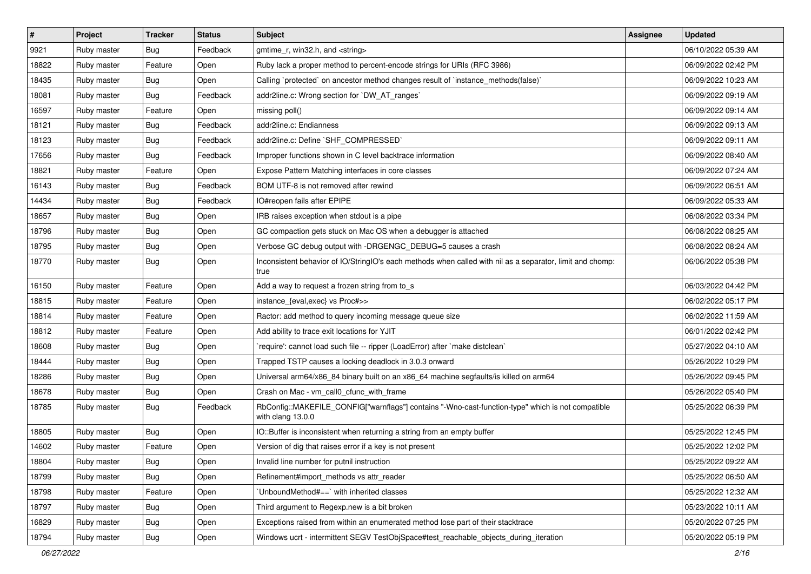| $\vert$ # | Project     | <b>Tracker</b> | <b>Status</b> | Subject                                                                                                                | Assignee | <b>Updated</b>      |
|-----------|-------------|----------------|---------------|------------------------------------------------------------------------------------------------------------------------|----------|---------------------|
| 9921      | Ruby master | Bug            | Feedback      | gmtime r, win32.h, and <string></string>                                                                               |          | 06/10/2022 05:39 AM |
| 18822     | Ruby master | Feature        | Open          | Ruby lack a proper method to percent-encode strings for URIs (RFC 3986)                                                |          | 06/09/2022 02:42 PM |
| 18435     | Ruby master | <b>Bug</b>     | Open          | Calling `protected` on ancestor method changes result of `instance_methods(false)`                                     |          | 06/09/2022 10:23 AM |
| 18081     | Ruby master | <b>Bug</b>     | Feedback      | addr2line.c: Wrong section for `DW_AT_ranges`                                                                          |          | 06/09/2022 09:19 AM |
| 16597     | Ruby master | Feature        | Open          | missing poll()                                                                                                         |          | 06/09/2022 09:14 AM |
| 18121     | Ruby master | <b>Bug</b>     | Feedback      | addr2line.c: Endianness                                                                                                |          | 06/09/2022 09:13 AM |
| 18123     | Ruby master | <b>Bug</b>     | Feedback      | addr2line.c: Define `SHF_COMPRESSED`                                                                                   |          | 06/09/2022 09:11 AM |
| 17656     | Ruby master | Bug            | Feedback      | Improper functions shown in C level backtrace information                                                              |          | 06/09/2022 08:40 AM |
| 18821     | Ruby master | Feature        | Open          | Expose Pattern Matching interfaces in core classes                                                                     |          | 06/09/2022 07:24 AM |
| 16143     | Ruby master | Bug            | Feedback      | BOM UTF-8 is not removed after rewind                                                                                  |          | 06/09/2022 06:51 AM |
| 14434     | Ruby master | <b>Bug</b>     | Feedback      | IO#reopen fails after EPIPE                                                                                            |          | 06/09/2022 05:33 AM |
| 18657     | Ruby master | <b>Bug</b>     | Open          | IRB raises exception when stdout is a pipe                                                                             |          | 06/08/2022 03:34 PM |
| 18796     | Ruby master | <b>Bug</b>     | Open          | GC compaction gets stuck on Mac OS when a debugger is attached                                                         |          | 06/08/2022 08:25 AM |
| 18795     | Ruby master | <b>Bug</b>     | Open          | Verbose GC debug output with -DRGENGC_DEBUG=5 causes a crash                                                           |          | 06/08/2022 08:24 AM |
| 18770     | Ruby master | <b>Bug</b>     | Open          | Inconsistent behavior of IO/StringIO's each methods when called with nil as a separator, limit and chomp:<br>true      |          | 06/06/2022 05:38 PM |
| 16150     | Ruby master | Feature        | Open          | Add a way to request a frozen string from to_s                                                                         |          | 06/03/2022 04:42 PM |
| 18815     | Ruby master | Feature        | Open          | instance_{eval,exec} vs Proc#>>                                                                                        |          | 06/02/2022 05:17 PM |
| 18814     | Ruby master | Feature        | Open          | Ractor: add method to query incoming message queue size                                                                |          | 06/02/2022 11:59 AM |
| 18812     | Ruby master | Feature        | Open          | Add ability to trace exit locations for YJIT                                                                           |          | 06/01/2022 02:42 PM |
| 18608     | Ruby master | <b>Bug</b>     | Open          | require': cannot load such file -- ripper (LoadError) after `make distclean`                                           |          | 05/27/2022 04:10 AM |
| 18444     | Ruby master | <b>Bug</b>     | Open          | Trapped TSTP causes a locking deadlock in 3.0.3 onward                                                                 |          | 05/26/2022 10:29 PM |
| 18286     | Ruby master | Bug            | Open          | Universal arm64/x86_84 binary built on an x86_64 machine segfaults/is killed on arm64                                  |          | 05/26/2022 09:45 PM |
| 18678     | Ruby master | <b>Bug</b>     | Open          | Crash on Mac - vm_call0_cfunc_with_frame                                                                               |          | 05/26/2022 05:40 PM |
| 18785     | Ruby master | <b>Bug</b>     | Feedback      | RbConfig::MAKEFILE_CONFIG["warnflags"] contains "-Wno-cast-function-type" which is not compatible<br>with clang 13.0.0 |          | 05/25/2022 06:39 PM |
| 18805     | Ruby master | Bug            | Open          | IO::Buffer is inconsistent when returning a string from an empty buffer                                                |          | 05/25/2022 12:45 PM |
| 14602     | Ruby master | Feature        | Open          | Version of dig that raises error if a key is not present                                                               |          | 05/25/2022 12:02 PM |
| 18804     | Ruby master | Bug            | Open          | Invalid line number for putnil instruction                                                                             |          | 05/25/2022 09:22 AM |
| 18799     | Ruby master | <b>Bug</b>     | Open          | Refinement#import_methods vs attr_reader                                                                               |          | 05/25/2022 06:50 AM |
| 18798     | Ruby master | Feature        | Open          | UnboundMethod#==`with inherited classes                                                                                |          | 05/25/2022 12:32 AM |
| 18797     | Ruby master | Bug            | Open          | Third argument to Regexp.new is a bit broken                                                                           |          | 05/23/2022 10:11 AM |
| 16829     | Ruby master | Bug            | Open          | Exceptions raised from within an enumerated method lose part of their stacktrace                                       |          | 05/20/2022 07:25 PM |
| 18794     | Ruby master | Bug            | Open          | Windows ucrt - intermittent SEGV TestObjSpace#test_reachable_objects_during_iteration                                  |          | 05/20/2022 05:19 PM |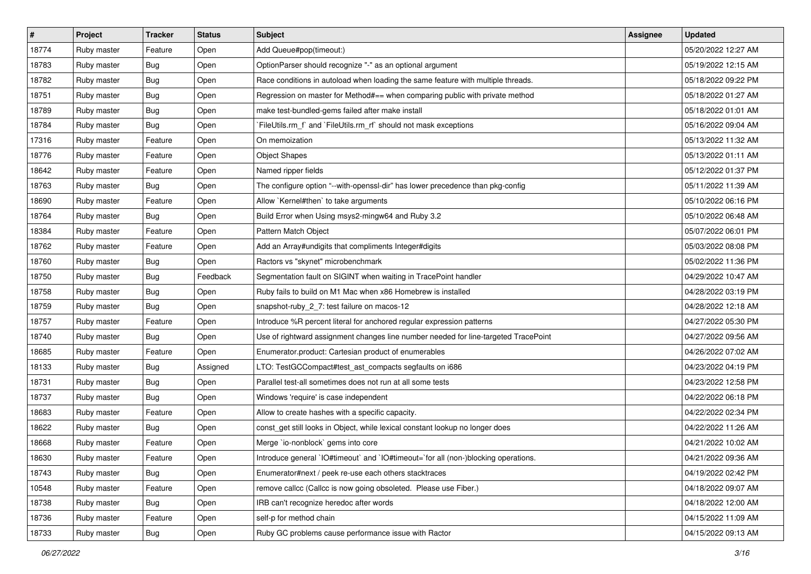| #     | Project     | <b>Tracker</b> | <b>Status</b> | <b>Subject</b>                                                                      | Assignee | <b>Updated</b>      |
|-------|-------------|----------------|---------------|-------------------------------------------------------------------------------------|----------|---------------------|
| 18774 | Ruby master | Feature        | Open          | Add Queue#pop(timeout:)                                                             |          | 05/20/2022 12:27 AM |
| 18783 | Ruby master | <b>Bug</b>     | Open          | OptionParser should recognize "-" as an optional argument                           |          | 05/19/2022 12:15 AM |
| 18782 | Ruby master | Bug            | Open          | Race conditions in autoload when loading the same feature with multiple threads.    |          | 05/18/2022 09:22 PM |
| 18751 | Ruby master | Bug            | Open          | Regression on master for Method#== when comparing public with private method        |          | 05/18/2022 01:27 AM |
| 18789 | Ruby master | <b>Bug</b>     | Open          | make test-bundled-gems failed after make install                                    |          | 05/18/2022 01:01 AM |
| 18784 | Ruby master | Bug            | Open          | FileUtils.rm_f` and `FileUtils.rm_rf` should not mask exceptions                    |          | 05/16/2022 09:04 AM |
| 17316 | Ruby master | Feature        | Open          | On memoization                                                                      |          | 05/13/2022 11:32 AM |
| 18776 | Ruby master | Feature        | Open          | <b>Object Shapes</b>                                                                |          | 05/13/2022 01:11 AM |
| 18642 | Ruby master | Feature        | Open          | Named ripper fields                                                                 |          | 05/12/2022 01:37 PM |
| 18763 | Ruby master | <b>Bug</b>     | Open          | The configure option "--with-openssl-dir" has lower precedence than pkg-config      |          | 05/11/2022 11:39 AM |
| 18690 | Ruby master | Feature        | Open          | Allow `Kernel#then` to take arguments                                               |          | 05/10/2022 06:16 PM |
| 18764 | Ruby master | Bug            | Open          | Build Error when Using msys2-mingw64 and Ruby 3.2                                   |          | 05/10/2022 06:48 AM |
| 18384 | Ruby master | Feature        | Open          | Pattern Match Object                                                                |          | 05/07/2022 06:01 PM |
| 18762 | Ruby master | Feature        | Open          | Add an Array#undigits that compliments Integer#digits                               |          | 05/03/2022 08:08 PM |
| 18760 | Ruby master | <b>Bug</b>     | Open          | Ractors vs "skynet" microbenchmark                                                  |          | 05/02/2022 11:36 PM |
| 18750 | Ruby master | Bug            | Feedback      | Segmentation fault on SIGINT when waiting in TracePoint handler                     |          | 04/29/2022 10:47 AM |
| 18758 | Ruby master | Bug            | Open          | Ruby fails to build on M1 Mac when x86 Homebrew is installed                        |          | 04/28/2022 03:19 PM |
| 18759 | Ruby master | Bug            | Open          | snapshot-ruby_2_7: test failure on macos-12                                         |          | 04/28/2022 12:18 AM |
| 18757 | Ruby master | Feature        | Open          | Introduce %R percent literal for anchored regular expression patterns               |          | 04/27/2022 05:30 PM |
| 18740 | Ruby master | Bug            | Open          | Use of rightward assignment changes line number needed for line-targeted TracePoint |          | 04/27/2022 09:56 AM |
| 18685 | Ruby master | Feature        | Open          | Enumerator.product: Cartesian product of enumerables                                |          | 04/26/2022 07:02 AM |
| 18133 | Ruby master | Bug            | Assigned      | LTO: TestGCCompact#test_ast_compacts segfaults on i686                              |          | 04/23/2022 04:19 PM |
| 18731 | Ruby master | <b>Bug</b>     | Open          | Parallel test-all sometimes does not run at all some tests                          |          | 04/23/2022 12:58 PM |
| 18737 | Ruby master | Bug            | Open          | Windows 'require' is case independent                                               |          | 04/22/2022 06:18 PM |
| 18683 | Ruby master | Feature        | Open          | Allow to create hashes with a specific capacity.                                    |          | 04/22/2022 02:34 PM |
| 18622 | Ruby master | Bug            | Open          | const_get still looks in Object, while lexical constant lookup no longer does       |          | 04/22/2022 11:26 AM |
| 18668 | Ruby master | Feature        | Open          | Merge `io-nonblock` gems into core                                                  |          | 04/21/2022 10:02 AM |
| 18630 | Ruby master | Feature        | Open          | Introduce general `IO#timeout` and `IO#timeout=`for all (non-)blocking operations.  |          | 04/21/2022 09:36 AM |
| 18743 | Ruby master | Bug            | Open          | Enumerator#next / peek re-use each others stacktraces                               |          | 04/19/2022 02:42 PM |
| 10548 | Ruby master | Feature        | Open          | remove callcc (Callcc is now going obsoleted. Please use Fiber.)                    |          | 04/18/2022 09:07 AM |
| 18738 | Ruby master | <b>Bug</b>     | Open          | IRB can't recognize heredoc after words                                             |          | 04/18/2022 12:00 AM |
| 18736 | Ruby master | Feature        | Open          | self-p for method chain                                                             |          | 04/15/2022 11:09 AM |
| 18733 | Ruby master | Bug            | Open          | Ruby GC problems cause performance issue with Ractor                                |          | 04/15/2022 09:13 AM |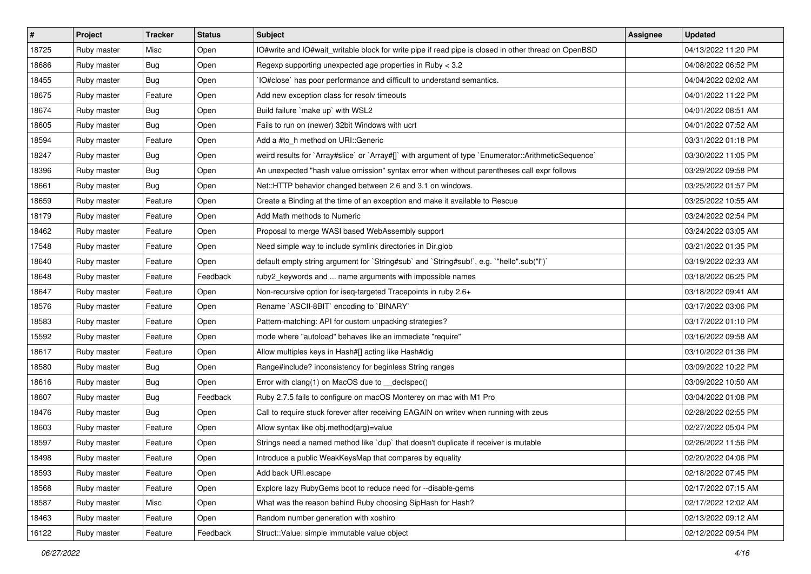| $\sharp$ | Project     | <b>Tracker</b> | <b>Status</b> | <b>Subject</b>                                                                                       | <b>Assignee</b> | <b>Updated</b>      |
|----------|-------------|----------------|---------------|------------------------------------------------------------------------------------------------------|-----------------|---------------------|
| 18725    | Ruby master | Misc           | Open          | IO#write and IO#wait_writable block for write pipe if read pipe is closed in other thread on OpenBSD |                 | 04/13/2022 11:20 PM |
| 18686    | Ruby master | Bug            | Open          | Regexp supporting unexpected age properties in Ruby < 3.2                                            |                 | 04/08/2022 06:52 PM |
| 18455    | Ruby master | Bug            | Open          | IO#close` has poor performance and difficult to understand semantics.                                |                 | 04/04/2022 02:02 AM |
| 18675    | Ruby master | Feature        | Open          | Add new exception class for resolv timeouts                                                          |                 | 04/01/2022 11:22 PM |
| 18674    | Ruby master | <b>Bug</b>     | Open          | Build failure `make up` with WSL2                                                                    |                 | 04/01/2022 08:51 AM |
| 18605    | Ruby master | Bug            | Open          | Fails to run on (newer) 32bit Windows with ucrt                                                      |                 | 04/01/2022 07:52 AM |
| 18594    | Ruby master | Feature        | Open          | Add a #to_h method on URI::Generic                                                                   |                 | 03/31/2022 01:18 PM |
| 18247    | Ruby master | Bug            | Open          | weird results for `Array#slice` or `Array#[]` with argument of type `Enumerator::ArithmeticSequence` |                 | 03/30/2022 11:05 PM |
| 18396    | Ruby master | Bug            | Open          | An unexpected "hash value omission" syntax error when without parentheses call expr follows          |                 | 03/29/2022 09:58 PM |
| 18661    | Ruby master | <b>Bug</b>     | Open          | Net::HTTP behavior changed between 2.6 and 3.1 on windows.                                           |                 | 03/25/2022 01:57 PM |
| 18659    | Ruby master | Feature        | Open          | Create a Binding at the time of an exception and make it available to Rescue                         |                 | 03/25/2022 10:55 AM |
| 18179    | Ruby master | Feature        | Open          | Add Math methods to Numeric                                                                          |                 | 03/24/2022 02:54 PM |
| 18462    | Ruby master | Feature        | Open          | Proposal to merge WASI based WebAssembly support                                                     |                 | 03/24/2022 03:05 AM |
| 17548    | Ruby master | Feature        | Open          | Need simple way to include symlink directories in Dir.glob                                           |                 | 03/21/2022 01:35 PM |
| 18640    | Ruby master | Feature        | Open          | default empty string argument for `String#sub` and `String#sub!`, e.g. `"hello".sub("I")`            |                 | 03/19/2022 02:33 AM |
| 18648    | Ruby master | Feature        | Feedback      | ruby2_keywords and  name arguments with impossible names                                             |                 | 03/18/2022 06:25 PM |
| 18647    | Ruby master | Feature        | Open          | Non-recursive option for iseq-targeted Tracepoints in ruby 2.6+                                      |                 | 03/18/2022 09:41 AM |
| 18576    | Ruby master | Feature        | Open          | Rename `ASCII-8BIT` encoding to `BINARY`                                                             |                 | 03/17/2022 03:06 PM |
| 18583    | Ruby master | Feature        | Open          | Pattern-matching: API for custom unpacking strategies?                                               |                 | 03/17/2022 01:10 PM |
| 15592    | Ruby master | Feature        | Open          | mode where "autoload" behaves like an immediate "require"                                            |                 | 03/16/2022 09:58 AM |
| 18617    | Ruby master | Feature        | Open          | Allow multiples keys in Hash#[] acting like Hash#dig                                                 |                 | 03/10/2022 01:36 PM |
| 18580    | Ruby master | Bug            | Open          | Range#include? inconsistency for beginless String ranges                                             |                 | 03/09/2022 10:22 PM |
| 18616    | Ruby master | <b>Bug</b>     | Open          | Error with clang(1) on MacOS due to _declspec()                                                      |                 | 03/09/2022 10:50 AM |
| 18607    | Ruby master | Bug            | Feedback      | Ruby 2.7.5 fails to configure on macOS Monterey on mac with M1 Pro                                   |                 | 03/04/2022 01:08 PM |
| 18476    | Ruby master | Bug            | Open          | Call to require stuck forever after receiving EAGAIN on writev when running with zeus                |                 | 02/28/2022 02:55 PM |
| 18603    | Ruby master | Feature        | Open          | Allow syntax like obj.method(arg)=value                                                              |                 | 02/27/2022 05:04 PM |
| 18597    | Ruby master | Feature        | Open          | Strings need a named method like 'dup' that doesn't duplicate if receiver is mutable                 |                 | 02/26/2022 11:56 PM |
| 18498    | Ruby master | Feature        | Open          | Introduce a public WeakKeysMap that compares by equality                                             |                 | 02/20/2022 04:06 PM |
| 18593    | Ruby master | Feature        | Open          | Add back URI.escape                                                                                  |                 | 02/18/2022 07:45 PM |
| 18568    | Ruby master | Feature        | Open          | Explore lazy RubyGems boot to reduce need for --disable-gems                                         |                 | 02/17/2022 07:15 AM |
| 18587    | Ruby master | Misc           | Open          | What was the reason behind Ruby choosing SipHash for Hash?                                           |                 | 02/17/2022 12:02 AM |
| 18463    | Ruby master | Feature        | Open          | Random number generation with xoshiro                                                                |                 | 02/13/2022 09:12 AM |
| 16122    | Ruby master | Feature        | Feedback      | Struct::Value: simple immutable value object                                                         |                 | 02/12/2022 09:54 PM |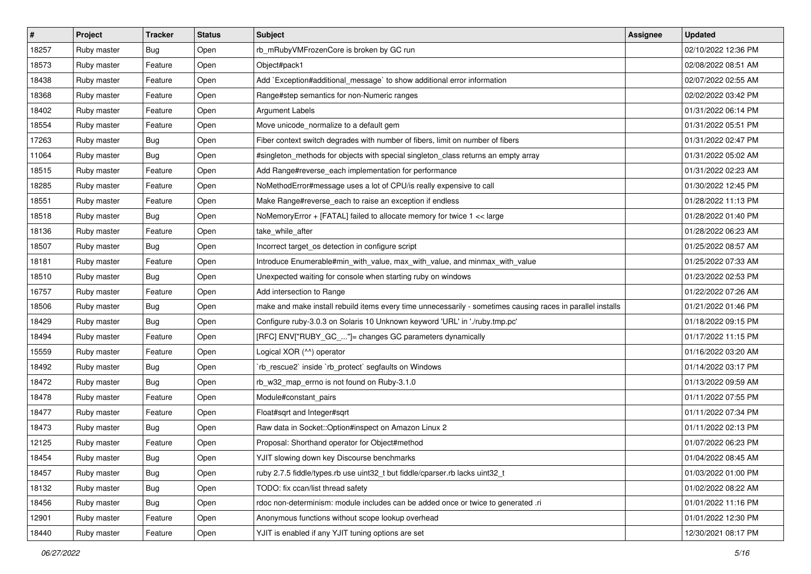| #     | Project     | <b>Tracker</b> | <b>Status</b> | <b>Subject</b>                                                                                              | <b>Assignee</b> | <b>Updated</b>      |
|-------|-------------|----------------|---------------|-------------------------------------------------------------------------------------------------------------|-----------------|---------------------|
| 18257 | Ruby master | Bug            | Open          | rb_mRubyVMFrozenCore is broken by GC run                                                                    |                 | 02/10/2022 12:36 PM |
| 18573 | Ruby master | Feature        | Open          | Object#pack1                                                                                                |                 | 02/08/2022 08:51 AM |
| 18438 | Ruby master | Feature        | Open          | Add `Exception#additional_message` to show additional error information                                     |                 | 02/07/2022 02:55 AM |
| 18368 | Ruby master | Feature        | Open          | Range#step semantics for non-Numeric ranges                                                                 |                 | 02/02/2022 03:42 PM |
| 18402 | Ruby master | Feature        | Open          | Argument Labels                                                                                             |                 | 01/31/2022 06:14 PM |
| 18554 | Ruby master | Feature        | Open          | Move unicode_normalize to a default gem                                                                     |                 | 01/31/2022 05:51 PM |
| 17263 | Ruby master | <b>Bug</b>     | Open          | Fiber context switch degrades with number of fibers, limit on number of fibers                              |                 | 01/31/2022 02:47 PM |
| 11064 | Ruby master | Bug            | Open          | #singleton_methods for objects with special singleton_class returns an empty array                          |                 | 01/31/2022 05:02 AM |
| 18515 | Ruby master | Feature        | Open          | Add Range#reverse_each implementation for performance                                                       |                 | 01/31/2022 02:23 AM |
| 18285 | Ruby master | Feature        | Open          | NoMethodError#message uses a lot of CPU/is really expensive to call                                         |                 | 01/30/2022 12:45 PM |
| 18551 | Ruby master | Feature        | Open          | Make Range#reverse_each to raise an exception if endless                                                    |                 | 01/28/2022 11:13 PM |
| 18518 | Ruby master | Bug            | Open          | NoMemoryError + [FATAL] failed to allocate memory for twice 1 << large                                      |                 | 01/28/2022 01:40 PM |
| 18136 | Ruby master | Feature        | Open          | take while after                                                                                            |                 | 01/28/2022 06:23 AM |
| 18507 | Ruby master | Bug            | Open          | Incorrect target_os detection in configure script                                                           |                 | 01/25/2022 08:57 AM |
| 18181 | Ruby master | Feature        | Open          | Introduce Enumerable#min_with_value, max_with_value, and minmax_with_value                                  |                 | 01/25/2022 07:33 AM |
| 18510 | Ruby master | Bug            | Open          | Unexpected waiting for console when starting ruby on windows                                                |                 | 01/23/2022 02:53 PM |
| 16757 | Ruby master | Feature        | Open          | Add intersection to Range                                                                                   |                 | 01/22/2022 07:26 AM |
| 18506 | Ruby master | Bug            | Open          | make and make install rebuild items every time unnecessarily - sometimes causing races in parallel installs |                 | 01/21/2022 01:46 PM |
| 18429 | Ruby master | Bug            | Open          | Configure ruby-3.0.3 on Solaris 10 Unknown keyword 'URL' in './ruby.tmp.pc'                                 |                 | 01/18/2022 09:15 PM |
| 18494 | Ruby master | Feature        | Open          | [RFC] ENV["RUBY_GC_"]= changes GC parameters dynamically                                                    |                 | 01/17/2022 11:15 PM |
| 15559 | Ruby master | Feature        | Open          | Logical XOR (^^) operator                                                                                   |                 | 01/16/2022 03:20 AM |
| 18492 | Ruby master | Bug            | Open          | 'rb_rescue2' inside 'rb_protect' segfaults on Windows                                                       |                 | 01/14/2022 03:17 PM |
| 18472 | Ruby master | Bug            | Open          | rb_w32_map_errno is not found on Ruby-3.1.0                                                                 |                 | 01/13/2022 09:59 AM |
| 18478 | Ruby master | Feature        | Open          | Module#constant_pairs                                                                                       |                 | 01/11/2022 07:55 PM |
| 18477 | Ruby master | Feature        | Open          | Float#sqrt and Integer#sqrt                                                                                 |                 | 01/11/2022 07:34 PM |
| 18473 | Ruby master | Bug            | Open          | Raw data in Socket::Option#inspect on Amazon Linux 2                                                        |                 | 01/11/2022 02:13 PM |
| 12125 | Ruby master | Feature        | Open          | Proposal: Shorthand operator for Object#method                                                              |                 | 01/07/2022 06:23 PM |
| 18454 | Ruby master | Bug            | Open          | YJIT slowing down key Discourse benchmarks                                                                  |                 | 01/04/2022 08:45 AM |
| 18457 | Ruby master | Bug            | Open          | ruby 2.7.5 fiddle/types.rb use uint32 t but fiddle/cparser.rb lacks uint32 t                                |                 | 01/03/2022 01:00 PM |
| 18132 | Ruby master | <b>Bug</b>     | Open          | TODO: fix ccan/list thread safety                                                                           |                 | 01/02/2022 08:22 AM |
| 18456 | Ruby master | <b>Bug</b>     | Open          | rdoc non-determinism: module includes can be added once or twice to generated .ri                           |                 | 01/01/2022 11:16 PM |
| 12901 | Ruby master | Feature        | Open          | Anonymous functions without scope lookup overhead                                                           |                 | 01/01/2022 12:30 PM |
| 18440 | Ruby master | Feature        | Open          | YJIT is enabled if any YJIT tuning options are set                                                          |                 | 12/30/2021 08:17 PM |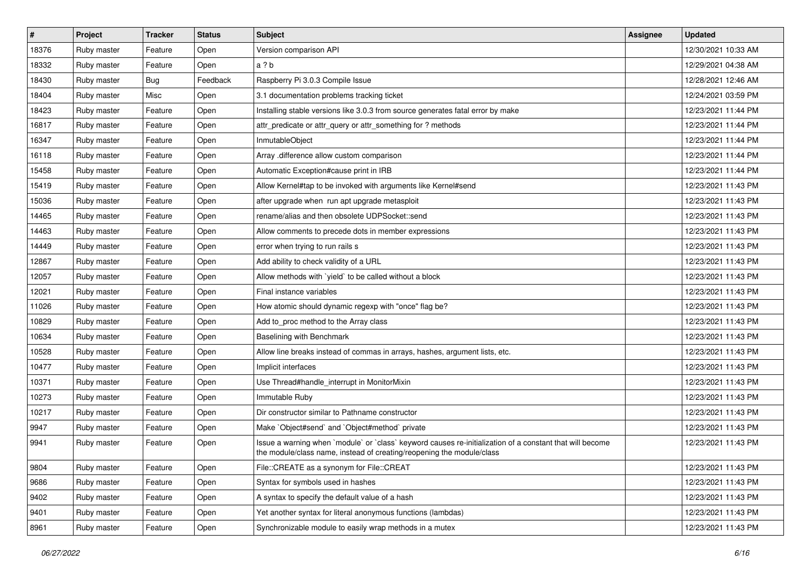| $\vert$ # | <b>Project</b> | <b>Tracker</b> | <b>Status</b> | Subject                                                                                                                                                                           | Assignee | <b>Updated</b>      |
|-----------|----------------|----------------|---------------|-----------------------------------------------------------------------------------------------------------------------------------------------------------------------------------|----------|---------------------|
| 18376     | Ruby master    | Feature        | Open          | Version comparison API                                                                                                                                                            |          | 12/30/2021 10:33 AM |
| 18332     | Ruby master    | Feature        | Open          | a ? b                                                                                                                                                                             |          | 12/29/2021 04:38 AM |
| 18430     | Ruby master    | Bug            | Feedback      | Raspberry Pi 3.0.3 Compile Issue                                                                                                                                                  |          | 12/28/2021 12:46 AM |
| 18404     | Ruby master    | Misc           | Open          | 3.1 documentation problems tracking ticket                                                                                                                                        |          | 12/24/2021 03:59 PM |
| 18423     | Ruby master    | Feature        | Open          | Installing stable versions like 3.0.3 from source generates fatal error by make                                                                                                   |          | 12/23/2021 11:44 PM |
| 16817     | Ruby master    | Feature        | Open          | attr_predicate or attr_query or attr_something for ? methods                                                                                                                      |          | 12/23/2021 11:44 PM |
| 16347     | Ruby master    | Feature        | Open          | InmutableObject                                                                                                                                                                   |          | 12/23/2021 11:44 PM |
| 16118     | Ruby master    | Feature        | Open          | Array .difference allow custom comparison                                                                                                                                         |          | 12/23/2021 11:44 PM |
| 15458     | Ruby master    | Feature        | Open          | Automatic Exception#cause print in IRB                                                                                                                                            |          | 12/23/2021 11:44 PM |
| 15419     | Ruby master    | Feature        | Open          | Allow Kernel#tap to be invoked with arguments like Kernel#send                                                                                                                    |          | 12/23/2021 11:43 PM |
| 15036     | Ruby master    | Feature        | Open          | after upgrade when run apt upgrade metasploit                                                                                                                                     |          | 12/23/2021 11:43 PM |
| 14465     | Ruby master    | Feature        | Open          | rename/alias and then obsolete UDPSocket::send                                                                                                                                    |          | 12/23/2021 11:43 PM |
| 14463     | Ruby master    | Feature        | Open          | Allow comments to precede dots in member expressions                                                                                                                              |          | 12/23/2021 11:43 PM |
| 14449     | Ruby master    | Feature        | Open          | error when trying to run rails s                                                                                                                                                  |          | 12/23/2021 11:43 PM |
| 12867     | Ruby master    | Feature        | Open          | Add ability to check validity of a URL                                                                                                                                            |          | 12/23/2021 11:43 PM |
| 12057     | Ruby master    | Feature        | Open          | Allow methods with 'yield' to be called without a block                                                                                                                           |          | 12/23/2021 11:43 PM |
| 12021     | Ruby master    | Feature        | Open          | Final instance variables                                                                                                                                                          |          | 12/23/2021 11:43 PM |
| 11026     | Ruby master    | Feature        | Open          | How atomic should dynamic regexp with "once" flag be?                                                                                                                             |          | 12/23/2021 11:43 PM |
| 10829     | Ruby master    | Feature        | Open          | Add to_proc method to the Array class                                                                                                                                             |          | 12/23/2021 11:43 PM |
| 10634     | Ruby master    | Feature        | Open          | Baselining with Benchmark                                                                                                                                                         |          | 12/23/2021 11:43 PM |
| 10528     | Ruby master    | Feature        | Open          | Allow line breaks instead of commas in arrays, hashes, argument lists, etc.                                                                                                       |          | 12/23/2021 11:43 PM |
| 10477     | Ruby master    | Feature        | Open          | Implicit interfaces                                                                                                                                                               |          | 12/23/2021 11:43 PM |
| 10371     | Ruby master    | Feature        | Open          | Use Thread#handle_interrupt in MonitorMixin                                                                                                                                       |          | 12/23/2021 11:43 PM |
| 10273     | Ruby master    | Feature        | Open          | Immutable Ruby                                                                                                                                                                    |          | 12/23/2021 11:43 PM |
| 10217     | Ruby master    | Feature        | Open          | Dir constructor similar to Pathname constructor                                                                                                                                   |          | 12/23/2021 11:43 PM |
| 9947      | Ruby master    | Feature        | Open          | Make `Object#send` and `Object#method` private                                                                                                                                    |          | 12/23/2021 11:43 PM |
| 9941      | Ruby master    | Feature        | Open          | Issue a warning when `module` or `class` keyword causes re-initialization of a constant that will become<br>the module/class name, instead of creating/reopening the module/class |          | 12/23/2021 11:43 PM |
| 9804      | Ruby master    | Feature        | Open          | File::CREATE as a synonym for File::CREAT                                                                                                                                         |          | 12/23/2021 11:43 PM |
| 9686      | Ruby master    | Feature        | Open          | Syntax for symbols used in hashes                                                                                                                                                 |          | 12/23/2021 11:43 PM |
| 9402      | Ruby master    | Feature        | Open          | A syntax to specify the default value of a hash                                                                                                                                   |          | 12/23/2021 11:43 PM |
| 9401      | Ruby master    | Feature        | Open          | Yet another syntax for literal anonymous functions (lambdas)                                                                                                                      |          | 12/23/2021 11:43 PM |
| 8961      | Ruby master    | Feature        | Open          | Synchronizable module to easily wrap methods in a mutex                                                                                                                           |          | 12/23/2021 11:43 PM |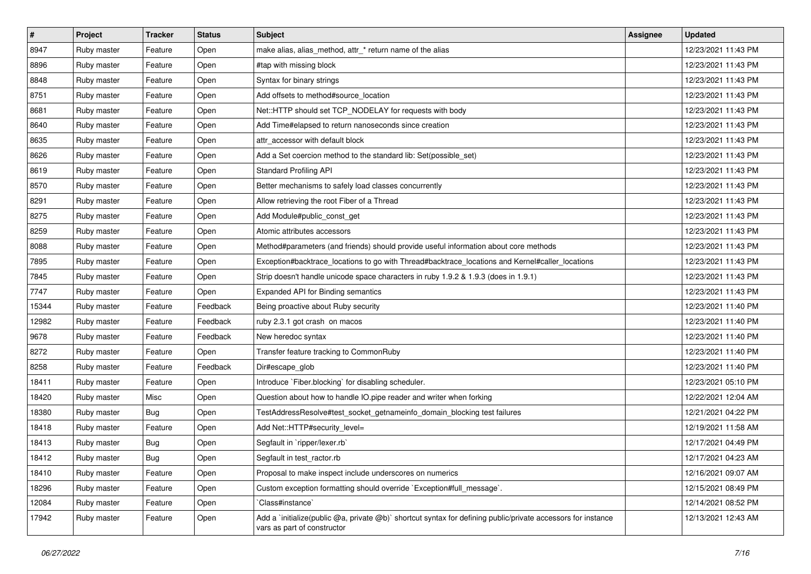| $\vert$ # | Project     | <b>Tracker</b> | <b>Status</b> | <b>Subject</b>                                                                                                                              | <b>Assignee</b> | <b>Updated</b>      |
|-----------|-------------|----------------|---------------|---------------------------------------------------------------------------------------------------------------------------------------------|-----------------|---------------------|
| 8947      | Ruby master | Feature        | Open          | make alias, alias_method, attr_* return name of the alias                                                                                   |                 | 12/23/2021 11:43 PM |
| 8896      | Ruby master | Feature        | Open          | #tap with missing block                                                                                                                     |                 | 12/23/2021 11:43 PM |
| 8848      | Ruby master | Feature        | Open          | Syntax for binary strings                                                                                                                   |                 | 12/23/2021 11:43 PM |
| 8751      | Ruby master | Feature        | Open          | Add offsets to method#source_location                                                                                                       |                 | 12/23/2021 11:43 PM |
| 8681      | Ruby master | Feature        | Open          | Net::HTTP should set TCP_NODELAY for requests with body                                                                                     |                 | 12/23/2021 11:43 PM |
| 8640      | Ruby master | Feature        | Open          | Add Time#elapsed to return nanoseconds since creation                                                                                       |                 | 12/23/2021 11:43 PM |
| 8635      | Ruby master | Feature        | Open          | attr accessor with default block                                                                                                            |                 | 12/23/2021 11:43 PM |
| 8626      | Ruby master | Feature        | Open          | Add a Set coercion method to the standard lib: Set(possible set)                                                                            |                 | 12/23/2021 11:43 PM |
| 8619      | Ruby master | Feature        | Open          | <b>Standard Profiling API</b>                                                                                                               |                 | 12/23/2021 11:43 PM |
| 8570      | Ruby master | Feature        | Open          | Better mechanisms to safely load classes concurrently                                                                                       |                 | 12/23/2021 11:43 PM |
| 8291      | Ruby master | Feature        | Open          | Allow retrieving the root Fiber of a Thread                                                                                                 |                 | 12/23/2021 11:43 PM |
| 8275      | Ruby master | Feature        | Open          | Add Module#public_const_get                                                                                                                 |                 | 12/23/2021 11:43 PM |
| 8259      | Ruby master | Feature        | Open          | Atomic attributes accessors                                                                                                                 |                 | 12/23/2021 11:43 PM |
| 8088      | Ruby master | Feature        | Open          | Method#parameters (and friends) should provide useful information about core methods                                                        |                 | 12/23/2021 11:43 PM |
| 7895      | Ruby master | Feature        | Open          | Exception#backtrace_locations to go with Thread#backtrace_locations and Kernel#caller_locations                                             |                 | 12/23/2021 11:43 PM |
| 7845      | Ruby master | Feature        | Open          | Strip doesn't handle unicode space characters in ruby 1.9.2 & 1.9.3 (does in 1.9.1)                                                         |                 | 12/23/2021 11:43 PM |
| 7747      | Ruby master | Feature        | Open          | Expanded API for Binding semantics                                                                                                          |                 | 12/23/2021 11:43 PM |
| 15344     | Ruby master | Feature        | Feedback      | Being proactive about Ruby security                                                                                                         |                 | 12/23/2021 11:40 PM |
| 12982     | Ruby master | Feature        | Feedback      | ruby 2.3.1 got crash on macos                                                                                                               |                 | 12/23/2021 11:40 PM |
| 9678      | Ruby master | Feature        | Feedback      | New heredoc syntax                                                                                                                          |                 | 12/23/2021 11:40 PM |
| 8272      | Ruby master | Feature        | Open          | Transfer feature tracking to CommonRuby                                                                                                     |                 | 12/23/2021 11:40 PM |
| 8258      | Ruby master | Feature        | Feedback      | Dir#escape_glob                                                                                                                             |                 | 12/23/2021 11:40 PM |
| 18411     | Ruby master | Feature        | Open          | Introduce `Fiber.blocking` for disabling scheduler.                                                                                         |                 | 12/23/2021 05:10 PM |
| 18420     | Ruby master | Misc           | Open          | Question about how to handle IO.pipe reader and writer when forking                                                                         |                 | 12/22/2021 12:04 AM |
| 18380     | Ruby master | <b>Bug</b>     | Open          | TestAddressResolve#test_socket_getnameinfo_domain_blocking test failures                                                                    |                 | 12/21/2021 04:22 PM |
| 18418     | Ruby master | Feature        | Open          | Add Net::HTTP#security_level=                                                                                                               |                 | 12/19/2021 11:58 AM |
| 18413     | Ruby master | <b>Bug</b>     | Open          | Segfault in `ripper/lexer.rb`                                                                                                               |                 | 12/17/2021 04:49 PM |
| 18412     | Ruby master | Bug            | Open          | Segfault in test_ractor.rb                                                                                                                  |                 | 12/17/2021 04:23 AM |
| 18410     | Ruby master | Feature        | Open          | Proposal to make inspect include underscores on numerics                                                                                    |                 | 12/16/2021 09:07 AM |
| 18296     | Ruby master | Feature        | Open          | Custom exception formatting should override `Exception#full_message`.                                                                       |                 | 12/15/2021 08:49 PM |
| 12084     | Ruby master | Feature        | Open          | Class#instance`                                                                                                                             |                 | 12/14/2021 08:52 PM |
| 17942     | Ruby master | Feature        | Open          | Add a `initialize(public @a, private @b)` shortcut syntax for defining public/private accessors for instance<br>vars as part of constructor |                 | 12/13/2021 12:43 AM |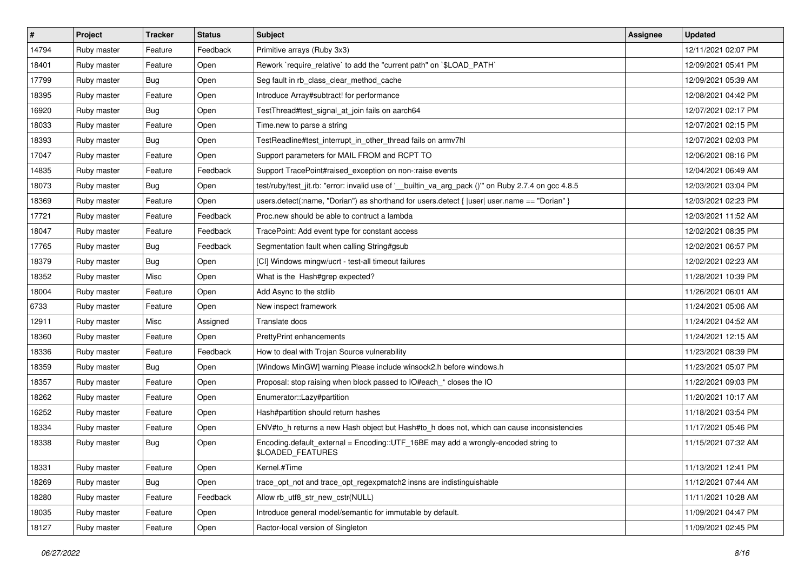| #     | Project     | <b>Tracker</b> | <b>Status</b> | Subject                                                                                                 | Assignee | <b>Updated</b>      |
|-------|-------------|----------------|---------------|---------------------------------------------------------------------------------------------------------|----------|---------------------|
| 14794 | Ruby master | Feature        | Feedback      | Primitive arrays (Ruby 3x3)                                                                             |          | 12/11/2021 02:07 PM |
| 18401 | Ruby master | Feature        | Open          | Rework `require_relative` to add the "current path" on `\$LOAD_PATH`                                    |          | 12/09/2021 05:41 PM |
| 17799 | Ruby master | Bug            | Open          | Seg fault in rb class clear method cache                                                                |          | 12/09/2021 05:39 AM |
| 18395 | Ruby master | Feature        | Open          | Introduce Array#subtract! for performance                                                               |          | 12/08/2021 04:42 PM |
| 16920 | Ruby master | Bug            | Open          | TestThread#test_signal_at_join fails on aarch64                                                         |          | 12/07/2021 02:17 PM |
| 18033 | Ruby master | Feature        | Open          | Time.new to parse a string                                                                              |          | 12/07/2021 02:15 PM |
| 18393 | Ruby master | Bug            | Open          | TestReadline#test_interrupt_in_other_thread fails on armv7hl                                            |          | 12/07/2021 02:03 PM |
| 17047 | Ruby master | Feature        | Open          | Support parameters for MAIL FROM and RCPT TO                                                            |          | 12/06/2021 08:16 PM |
| 14835 | Ruby master | Feature        | Feedback      | Support TracePoint#raised exception on non-:raise events                                                |          | 12/04/2021 06:49 AM |
| 18073 | Ruby master | Bug            | Open          | test/ruby/test_jit.rb: "error: invalid use of '__builtin_va_arg_pack ()" on Ruby 2.7.4 on gcc 4.8.5     |          | 12/03/2021 03:04 PM |
| 18369 | Ruby master | Feature        | Open          | users.detect(:name, "Dorian") as shorthand for users.detect { $ user user.name == "Dorian"$ }           |          | 12/03/2021 02:23 PM |
| 17721 | Ruby master | Feature        | Feedback      | Proc.new should be able to contruct a lambda                                                            |          | 12/03/2021 11:52 AM |
| 18047 | Ruby master | Feature        | Feedback      | TracePoint: Add event type for constant access                                                          |          | 12/02/2021 08:35 PM |
| 17765 | Ruby master | Bug            | Feedback      | Segmentation fault when calling String#gsub                                                             |          | 12/02/2021 06:57 PM |
| 18379 | Ruby master | Bug            | Open          | [CI] Windows mingw/ucrt - test-all timeout failures                                                     |          | 12/02/2021 02:23 AM |
| 18352 | Ruby master | Misc           | Open          | What is the Hash#grep expected?                                                                         |          | 11/28/2021 10:39 PM |
| 18004 | Ruby master | Feature        | Open          | Add Async to the stdlib                                                                                 |          | 11/26/2021 06:01 AM |
| 6733  | Ruby master | Feature        | Open          | New inspect framework                                                                                   |          | 11/24/2021 05:06 AM |
| 12911 | Ruby master | Misc           | Assigned      | Translate docs                                                                                          |          | 11/24/2021 04:52 AM |
| 18360 | Ruby master | Feature        | Open          | <b>PrettyPrint enhancements</b>                                                                         |          | 11/24/2021 12:15 AM |
| 18336 | Ruby master | Feature        | Feedback      | How to deal with Trojan Source vulnerability                                                            |          | 11/23/2021 08:39 PM |
| 18359 | Ruby master | Bug            | Open          | [Windows MinGW] warning Please include winsock2.h before windows.h                                      |          | 11/23/2021 05:07 PM |
| 18357 | Ruby master | Feature        | Open          | Proposal: stop raising when block passed to IO#each_* closes the IO                                     |          | 11/22/2021 09:03 PM |
| 18262 | Ruby master | Feature        | Open          | Enumerator::Lazy#partition                                                                              |          | 11/20/2021 10:17 AM |
| 16252 | Ruby master | Feature        | Open          | Hash#partition should return hashes                                                                     |          | 11/18/2021 03:54 PM |
| 18334 | Ruby master | Feature        | Open          | ENV#to h returns a new Hash object but Hash#to h does not, which can cause inconsistencies              |          | 11/17/2021 05:46 PM |
| 18338 | Ruby master | Bug            | Open          | Encoding default_external = Encoding::UTF_16BE may add a wrongly-encoded string to<br>\$LOADED_FEATURES |          | 11/15/2021 07:32 AM |
| 18331 | Ruby master | Feature        | Open          | Kernel.#Time                                                                                            |          | 11/13/2021 12:41 PM |
| 18269 | Ruby master | <b>Bug</b>     | Open          | trace_opt_not and trace_opt_regexpmatch2 insns are indistinguishable                                    |          | 11/12/2021 07:44 AM |
| 18280 | Ruby master | Feature        | Feedback      | Allow rb_utf8_str_new_cstr(NULL)                                                                        |          | 11/11/2021 10:28 AM |
| 18035 | Ruby master | Feature        | Open          | Introduce general model/semantic for immutable by default.                                              |          | 11/09/2021 04:47 PM |
| 18127 | Ruby master | Feature        | Open          | Ractor-local version of Singleton                                                                       |          | 11/09/2021 02:45 PM |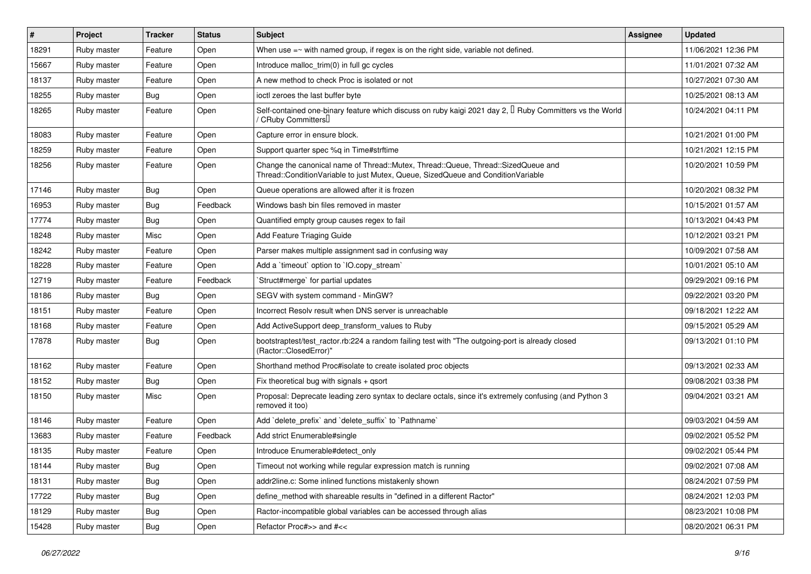| #     | Project     | <b>Tracker</b> | <b>Status</b> | <b>Subject</b>                                                                                                                                                        | Assignee | <b>Updated</b>      |
|-------|-------------|----------------|---------------|-----------------------------------------------------------------------------------------------------------------------------------------------------------------------|----------|---------------------|
| 18291 | Ruby master | Feature        | Open          | When use $=\sim$ with named group, if regex is on the right side, variable not defined.                                                                               |          | 11/06/2021 12:36 PM |
| 15667 | Ruby master | Feature        | Open          | Introduce malloc_trim(0) in full gc cycles                                                                                                                            |          | 11/01/2021 07:32 AM |
| 18137 | Ruby master | Feature        | Open          | A new method to check Proc is isolated or not                                                                                                                         |          | 10/27/2021 07:30 AM |
| 18255 | Ruby master | Bug            | Open          | ioctl zeroes the last buffer byte                                                                                                                                     |          | 10/25/2021 08:13 AM |
| 18265 | Ruby master | Feature        | Open          | Self-contained one-binary feature which discuss on ruby kaigi 2021 day 2, $\Box$ Ruby Committers vs the World<br>/ CRuby Committers <sup>[]</sup>                     |          | 10/24/2021 04:11 PM |
| 18083 | Ruby master | Feature        | Open          | Capture error in ensure block.                                                                                                                                        |          | 10/21/2021 01:00 PM |
| 18259 | Ruby master | Feature        | Open          | Support quarter spec %q in Time#strftime                                                                                                                              |          | 10/21/2021 12:15 PM |
| 18256 | Ruby master | Feature        | Open          | Change the canonical name of Thread::Mutex, Thread::Queue, Thread::SizedQueue and<br>Thread::ConditionVariable to just Mutex, Queue, SizedQueue and ConditionVariable |          | 10/20/2021 10:59 PM |
| 17146 | Ruby master | Bug            | Open          | Queue operations are allowed after it is frozen                                                                                                                       |          | 10/20/2021 08:32 PM |
| 16953 | Ruby master | <b>Bug</b>     | Feedback      | Windows bash bin files removed in master                                                                                                                              |          | 10/15/2021 01:57 AM |
| 17774 | Ruby master | <b>Bug</b>     | Open          | Quantified empty group causes regex to fail                                                                                                                           |          | 10/13/2021 04:43 PM |
| 18248 | Ruby master | Misc           | Open          | Add Feature Triaging Guide                                                                                                                                            |          | 10/12/2021 03:21 PM |
| 18242 | Ruby master | Feature        | Open          | Parser makes multiple assignment sad in confusing way                                                                                                                 |          | 10/09/2021 07:58 AM |
| 18228 | Ruby master | Feature        | Open          | Add a 'timeout' option to 'IO.copy_stream'                                                                                                                            |          | 10/01/2021 05:10 AM |
| 12719 | Ruby master | Feature        | Feedback      | Struct#merge` for partial updates                                                                                                                                     |          | 09/29/2021 09:16 PM |
| 18186 | Ruby master | Bug            | Open          | SEGV with system command - MinGW?                                                                                                                                     |          | 09/22/2021 03:20 PM |
| 18151 | Ruby master | Feature        | Open          | Incorrect Resoly result when DNS server is unreachable                                                                                                                |          | 09/18/2021 12:22 AM |
| 18168 | Ruby master | Feature        | Open          | Add ActiveSupport deep_transform_values to Ruby                                                                                                                       |          | 09/15/2021 05:29 AM |
| 17878 | Ruby master | Bug            | Open          | bootstraptest/test_ractor.rb:224 a random failing test with "The outgoing-port is already closed<br>(Ractor::ClosedError)"                                            |          | 09/13/2021 01:10 PM |
| 18162 | Ruby master | Feature        | Open          | Shorthand method Proc#isolate to create isolated proc objects                                                                                                         |          | 09/13/2021 02:33 AM |
| 18152 | Ruby master | Bug            | Open          | Fix theoretical bug with signals $+$ qsort                                                                                                                            |          | 09/08/2021 03:38 PM |
| 18150 | Ruby master | Misc           | Open          | Proposal: Deprecate leading zero syntax to declare octals, since it's extremely confusing (and Python 3<br>removed it too)                                            |          | 09/04/2021 03:21 AM |
| 18146 | Ruby master | Feature        | Open          | Add `delete prefix` and `delete suffix` to `Pathname`                                                                                                                 |          | 09/03/2021 04:59 AM |
| 13683 | Ruby master | Feature        | Feedback      | Add strict Enumerable#single                                                                                                                                          |          | 09/02/2021 05:52 PM |
| 18135 | Ruby master | Feature        | Open          | Introduce Enumerable#detect only                                                                                                                                      |          | 09/02/2021 05:44 PM |
| 18144 | Ruby master | <b>Bug</b>     | Open          | Timeout not working while regular expression match is running                                                                                                         |          | 09/02/2021 07:08 AM |
| 18131 | Ruby master | <b>Bug</b>     | Open          | addr2line.c: Some inlined functions mistakenly shown                                                                                                                  |          | 08/24/2021 07:59 PM |
| 17722 | Ruby master | Bug            | Open          | define method with shareable results in "defined in a different Ractor"                                                                                               |          | 08/24/2021 12:03 PM |
| 18129 | Ruby master | Bug            | Open          | Ractor-incompatible global variables can be accessed through alias                                                                                                    |          | 08/23/2021 10:08 PM |
| 15428 | Ruby master | <b>Bug</b>     | Open          | Refactor Proc#>> and #<<                                                                                                                                              |          | 08/20/2021 06:31 PM |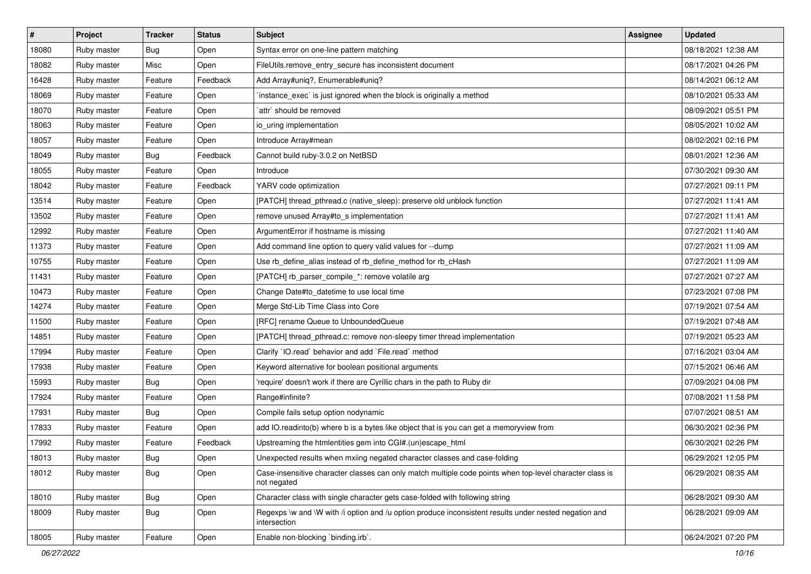| $\vert$ # | Project     | <b>Tracker</b> | <b>Status</b> | <b>Subject</b>                                                                                                          | <b>Assignee</b> | <b>Updated</b>      |
|-----------|-------------|----------------|---------------|-------------------------------------------------------------------------------------------------------------------------|-----------------|---------------------|
| 18080     | Ruby master | Bug            | Open          | Syntax error on one-line pattern matching                                                                               |                 | 08/18/2021 12:38 AM |
| 18082     | Ruby master | Misc           | Open          | FileUtils.remove_entry_secure has inconsistent document                                                                 |                 | 08/17/2021 04:26 PM |
| 16428     | Ruby master | Feature        | Feedback      | Add Array#uniq?, Enumerable#uniq?                                                                                       |                 | 08/14/2021 06:12 AM |
| 18069     | Ruby master | Feature        | Open          | instance_exec` is just ignored when the block is originally a method                                                    |                 | 08/10/2021 05:33 AM |
| 18070     | Ruby master | Feature        | Open          | attr' should be removed                                                                                                 |                 | 08/09/2021 05:51 PM |
| 18063     | Ruby master | Feature        | Open          | io_uring implementation                                                                                                 |                 | 08/05/2021 10:02 AM |
| 18057     | Ruby master | Feature        | Open          | Introduce Array#mean                                                                                                    |                 | 08/02/2021 02:16 PM |
| 18049     | Ruby master | <b>Bug</b>     | Feedback      | Cannot build ruby-3.0.2 on NetBSD                                                                                       |                 | 08/01/2021 12:36 AM |
| 18055     | Ruby master | Feature        | Open          | Introduce                                                                                                               |                 | 07/30/2021 09:30 AM |
| 18042     | Ruby master | Feature        | Feedback      | YARV code optimization                                                                                                  |                 | 07/27/2021 09:11 PM |
| 13514     | Ruby master | Feature        | Open          | [PATCH] thread_pthread.c (native_sleep): preserve old unblock function                                                  |                 | 07/27/2021 11:41 AM |
| 13502     | Ruby master | Feature        | Open          | remove unused Array#to_s implementation                                                                                 |                 | 07/27/2021 11:41 AM |
| 12992     | Ruby master | Feature        | Open          | ArgumentError if hostname is missing                                                                                    |                 | 07/27/2021 11:40 AM |
| 11373     | Ruby master | Feature        | Open          | Add command line option to query valid values for --dump                                                                |                 | 07/27/2021 11:09 AM |
| 10755     | Ruby master | Feature        | Open          | Use rb_define_alias instead of rb_define_method for rb_cHash                                                            |                 | 07/27/2021 11:09 AM |
| 11431     | Ruby master | Feature        | Open          | [PATCH] rb_parser_compile_*: remove volatile arg                                                                        |                 | 07/27/2021 07:27 AM |
| 10473     | Ruby master | Feature        | Open          | Change Date#to_datetime to use local time                                                                               |                 | 07/23/2021 07:08 PM |
| 14274     | Ruby master | Feature        | Open          | Merge Std-Lib Time Class into Core                                                                                      |                 | 07/19/2021 07:54 AM |
| 11500     | Ruby master | Feature        | Open          | [RFC] rename Queue to UnboundedQueue                                                                                    |                 | 07/19/2021 07:48 AM |
| 14851     | Ruby master | Feature        | Open          | [PATCH] thread_pthread.c: remove non-sleepy timer thread implementation                                                 |                 | 07/19/2021 05:23 AM |
| 17994     | Ruby master | Feature        | Open          | Clarify 'IO.read' behavior and add 'File.read' method                                                                   |                 | 07/16/2021 03:04 AM |
| 17938     | Ruby master | Feature        | Open          | Keyword alternative for boolean positional arguments                                                                    |                 | 07/15/2021 06:46 AM |
| 15993     | Ruby master | Bug            | Open          | 'require' doesn't work if there are Cyrillic chars in the path to Ruby dir                                              |                 | 07/09/2021 04:08 PM |
| 17924     | Ruby master | Feature        | Open          | Range#infinite?                                                                                                         |                 | 07/08/2021 11:58 PM |
| 17931     | Ruby master | <b>Bug</b>     | Open          | Compile fails setup option nodynamic                                                                                    |                 | 07/07/2021 08:51 AM |
| 17833     | Ruby master | Feature        | Open          | add IO.readinto(b) where b is a bytes like object that is you can get a memoryview from                                 |                 | 06/30/2021 02:36 PM |
| 17992     | Ruby master | Feature        | Feedback      | Upstreaming the htmlentities gem into CGI#.(un)escape_html                                                              |                 | 06/30/2021 02:26 PM |
| 18013     | Ruby master | Bug            | Open          | Unexpected results when mxiing negated character classes and case-folding                                               |                 | 06/29/2021 12:05 PM |
| 18012     | Ruby master | <b>Bug</b>     | Open          | Case-insensitive character classes can only match multiple code points when top-level character class is<br>not negated |                 | 06/29/2021 08:35 AM |
| 18010     | Ruby master | <b>Bug</b>     | Open          | Character class with single character gets case-folded with following string                                            |                 | 06/28/2021 09:30 AM |
| 18009     | Ruby master | <b>Bug</b>     | Open          | Regexps \w and \W with /i option and /u option produce inconsistent results under nested negation and<br>intersection   |                 | 06/28/2021 09:09 AM |
| 18005     | Ruby master | Feature        | Open          | Enable non-blocking 'binding.irb'.                                                                                      |                 | 06/24/2021 07:20 PM |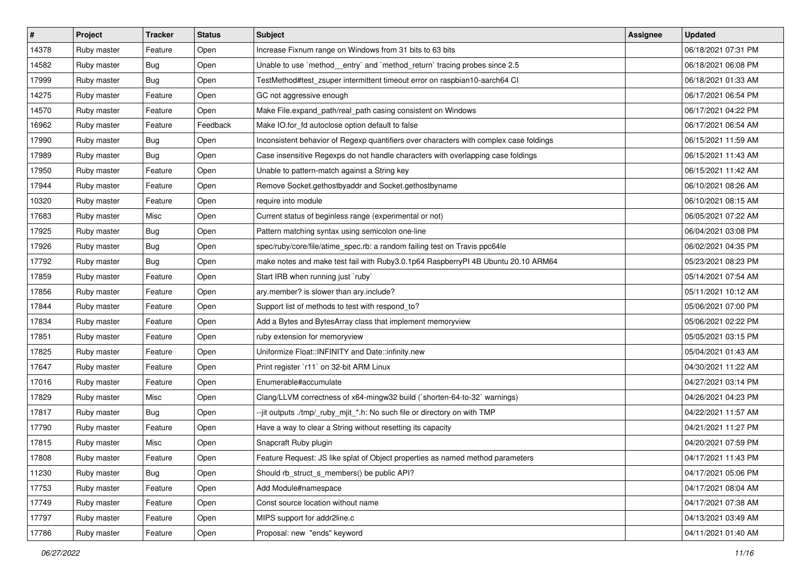| #     | Project     | <b>Tracker</b> | <b>Status</b> | <b>Subject</b>                                                                         | Assignee | <b>Updated</b>      |
|-------|-------------|----------------|---------------|----------------------------------------------------------------------------------------|----------|---------------------|
| 14378 | Ruby master | Feature        | Open          | Increase Fixnum range on Windows from 31 bits to 63 bits                               |          | 06/18/2021 07:31 PM |
| 14582 | Ruby master | Bug            | Open          | Unable to use `method_entry` and `method_return` tracing probes since 2.5              |          | 06/18/2021 06:08 PM |
| 17999 | Ruby master | Bug            | Open          | TestMethod#test_zsuper intermittent timeout error on raspbian10-aarch64 CI             |          | 06/18/2021 01:33 AM |
| 14275 | Ruby master | Feature        | Open          | GC not aggressive enough                                                               |          | 06/17/2021 06:54 PM |
| 14570 | Ruby master | Feature        | Open          | Make File.expand_path/real_path casing consistent on Windows                           |          | 06/17/2021 04:22 PM |
| 16962 | Ruby master | Feature        | Feedback      | Make IO.for_fd autoclose option default to false                                       |          | 06/17/2021 06:54 AM |
| 17990 | Ruby master | Bug            | Open          | Inconsistent behavior of Regexp quantifiers over characters with complex case foldings |          | 06/15/2021 11:59 AM |
| 17989 | Ruby master | Bug            | Open          | Case insensitive Regexps do not handle characters with overlapping case foldings       |          | 06/15/2021 11:43 AM |
| 17950 | Ruby master | Feature        | Open          | Unable to pattern-match against a String key                                           |          | 06/15/2021 11:42 AM |
| 17944 | Ruby master | Feature        | Open          | Remove Socket.gethostbyaddr and Socket.gethostbyname                                   |          | 06/10/2021 08:26 AM |
| 10320 | Ruby master | Feature        | Open          | require into module                                                                    |          | 06/10/2021 08:15 AM |
| 17683 | Ruby master | Misc           | Open          | Current status of beginless range (experimental or not)                                |          | 06/05/2021 07:22 AM |
| 17925 | Ruby master | Bug            | Open          | Pattern matching syntax using semicolon one-line                                       |          | 06/04/2021 03:08 PM |
| 17926 | Ruby master | Bug            | Open          | spec/ruby/core/file/atime_spec.rb: a random failing test on Travis ppc64le             |          | 06/02/2021 04:35 PM |
| 17792 | Ruby master | <b>Bug</b>     | Open          | make notes and make test fail with Ruby3.0.1p64 RaspberryPI 4B Ubuntu 20.10 ARM64      |          | 05/23/2021 08:23 PM |
| 17859 | Ruby master | Feature        | Open          | Start IRB when running just `ruby`                                                     |          | 05/14/2021 07:54 AM |
| 17856 | Ruby master | Feature        | Open          | ary.member? is slower than ary.include?                                                |          | 05/11/2021 10:12 AM |
| 17844 | Ruby master | Feature        | Open          | Support list of methods to test with respond_to?                                       |          | 05/06/2021 07:00 PM |
| 17834 | Ruby master | Feature        | Open          | Add a Bytes and BytesArray class that implement memoryview                             |          | 05/06/2021 02:22 PM |
| 17851 | Ruby master | Feature        | Open          | ruby extension for memoryview                                                          |          | 05/05/2021 03:15 PM |
| 17825 | Ruby master | Feature        | Open          | Uniformize Float::INFINITY and Date::infinity.new                                      |          | 05/04/2021 01:43 AM |
| 17647 | Ruby master | Feature        | Open          | Print register `r11` on 32-bit ARM Linux                                               |          | 04/30/2021 11:22 AM |
| 17016 | Ruby master | Feature        | Open          | Enumerable#accumulate                                                                  |          | 04/27/2021 03:14 PM |
| 17829 | Ruby master | Misc           | Open          | Clang/LLVM correctness of x64-mingw32 build (`shorten-64-to-32` warnings)              |          | 04/26/2021 04:23 PM |
| 17817 | Ruby master | Bug            | Open          | --jit outputs ./tmp/_ruby_mjit_*.h: No such file or directory on with TMP              |          | 04/22/2021 11:57 AM |
| 17790 | Ruby master | Feature        | Open          | Have a way to clear a String without resetting its capacity                            |          | 04/21/2021 11:27 PM |
| 17815 | Ruby master | Misc           | Open          | Snapcraft Ruby plugin                                                                  |          | 04/20/2021 07:59 PM |
| 17808 | Ruby master | Feature        | Open          | Feature Request: JS like splat of Object properties as named method parameters         |          | 04/17/2021 11:43 PM |
| 11230 | Ruby master | Bug            | Open          | Should rb struct s members() be public API?                                            |          | 04/17/2021 05:06 PM |
| 17753 | Ruby master | Feature        | Open          | Add Module#namespace                                                                   |          | 04/17/2021 08:04 AM |
| 17749 | Ruby master | Feature        | Open          | Const source location without name                                                     |          | 04/17/2021 07:38 AM |
| 17797 | Ruby master | Feature        | Open          | MIPS support for addr2line.c                                                           |          | 04/13/2021 03:49 AM |
| 17786 | Ruby master | Feature        | Open          | Proposal: new "ends" keyword                                                           |          | 04/11/2021 01:40 AM |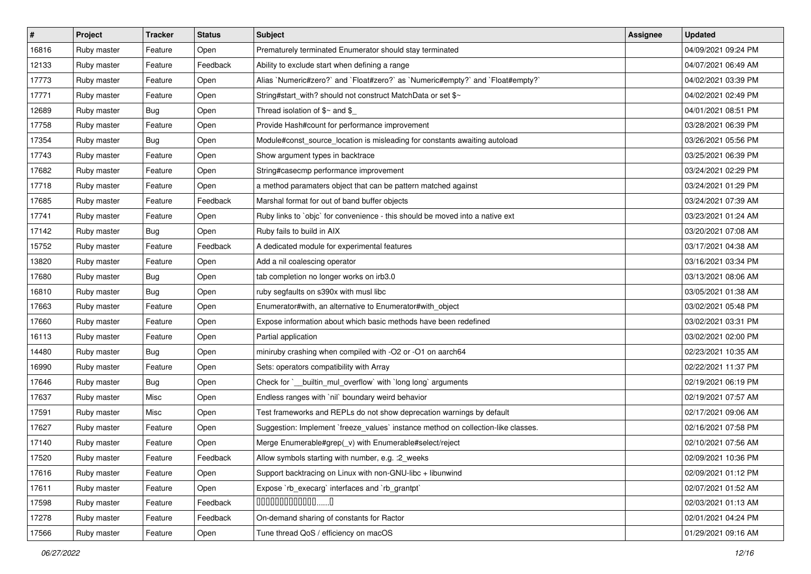| $\vert$ # | Project     | <b>Tracker</b> | <b>Status</b> | <b>Subject</b>                                                                    | <b>Assignee</b> | <b>Updated</b>      |
|-----------|-------------|----------------|---------------|-----------------------------------------------------------------------------------|-----------------|---------------------|
| 16816     | Ruby master | Feature        | Open          | Prematurely terminated Enumerator should stay terminated                          |                 | 04/09/2021 09:24 PM |
| 12133     | Ruby master | Feature        | Feedback      | Ability to exclude start when defining a range                                    |                 | 04/07/2021 06:49 AM |
| 17773     | Ruby master | Feature        | Open          | Alias `Numeric#zero?` and `Float#zero?` as `Numeric#empty?` and `Float#empty?`    |                 | 04/02/2021 03:39 PM |
| 17771     | Ruby master | Feature        | Open          | String#start_with? should not construct MatchData or set \$~                      |                 | 04/02/2021 02:49 PM |
| 12689     | Ruby master | Bug            | Open          | Thread isolation of $$~$ and \$                                                   |                 | 04/01/2021 08:51 PM |
| 17758     | Ruby master | Feature        | Open          | Provide Hash#count for performance improvement                                    |                 | 03/28/2021 06:39 PM |
| 17354     | Ruby master | <b>Bug</b>     | Open          | Module#const_source_location is misleading for constants awaiting autoload        |                 | 03/26/2021 05:56 PM |
| 17743     | Ruby master | Feature        | Open          | Show argument types in backtrace                                                  |                 | 03/25/2021 06:39 PM |
| 17682     | Ruby master | Feature        | Open          | String#casecmp performance improvement                                            |                 | 03/24/2021 02:29 PM |
| 17718     | Ruby master | Feature        | Open          | a method paramaters object that can be pattern matched against                    |                 | 03/24/2021 01:29 PM |
| 17685     | Ruby master | Feature        | Feedback      | Marshal format for out of band buffer objects                                     |                 | 03/24/2021 07:39 AM |
| 17741     | Ruby master | Feature        | Open          | Ruby links to `objc` for convenience - this should be moved into a native ext     |                 | 03/23/2021 01:24 AM |
| 17142     | Ruby master | <b>Bug</b>     | Open          | Ruby fails to build in AIX                                                        |                 | 03/20/2021 07:08 AM |
| 15752     | Ruby master | Feature        | Feedback      | A dedicated module for experimental features                                      |                 | 03/17/2021 04:38 AM |
| 13820     | Ruby master | Feature        | Open          | Add a nil coalescing operator                                                     |                 | 03/16/2021 03:34 PM |
| 17680     | Ruby master | <b>Bug</b>     | Open          | tab completion no longer works on irb3.0                                          |                 | 03/13/2021 08:06 AM |
| 16810     | Ruby master | <b>Bug</b>     | Open          | ruby segfaults on s390x with musl libc                                            |                 | 03/05/2021 01:38 AM |
| 17663     | Ruby master | Feature        | Open          | Enumerator#with, an alternative to Enumerator#with_object                         |                 | 03/02/2021 05:48 PM |
| 17660     | Ruby master | Feature        | Open          | Expose information about which basic methods have been redefined                  |                 | 03/02/2021 03:31 PM |
| 16113     | Ruby master | Feature        | Open          | Partial application                                                               |                 | 03/02/2021 02:00 PM |
| 14480     | Ruby master | Bug            | Open          | miniruby crashing when compiled with -O2 or -O1 on aarch64                        |                 | 02/23/2021 10:35 AM |
| 16990     | Ruby master | Feature        | Open          | Sets: operators compatibility with Array                                          |                 | 02/22/2021 11:37 PM |
| 17646     | Ruby master | Bug            | Open          | Check for `__builtin_mul_overflow` with `long long` arguments                     |                 | 02/19/2021 06:19 PM |
| 17637     | Ruby master | Misc           | Open          | Endless ranges with `nil` boundary weird behavior                                 |                 | 02/19/2021 07:57 AM |
| 17591     | Ruby master | Misc           | Open          | Test frameworks and REPLs do not show deprecation warnings by default             |                 | 02/17/2021 09:06 AM |
| 17627     | Ruby master | Feature        | Open          | Suggestion: Implement `freeze_values` instance method on collection-like classes. |                 | 02/16/2021 07:58 PM |
| 17140     | Ruby master | Feature        | Open          | Merge Enumerable#grep(_v) with Enumerable#select/reject                           |                 | 02/10/2021 07:56 AM |
| 17520     | Ruby master | Feature        | Feedback      | Allow symbols starting with number, e.g. : 2_weeks                                |                 | 02/09/2021 10:36 PM |
| 17616     | Ruby master | Feature        | Open          | Support backtracing on Linux with non-GNU-libc + libunwind                        |                 | 02/09/2021 01:12 PM |
| 17611     | Ruby master | Feature        | Open          | Expose `rb_execarg` interfaces and `rb_grantpt`                                   |                 | 02/07/2021 01:52 AM |
| 17598     | Ruby master | Feature        | Feedback      | $0000000000000010$                                                                |                 | 02/03/2021 01:13 AM |
| 17278     | Ruby master | Feature        | Feedback      | On-demand sharing of constants for Ractor                                         |                 | 02/01/2021 04:24 PM |
| 17566     | Ruby master | Feature        | Open          | Tune thread QoS / efficiency on macOS                                             |                 | 01/29/2021 09:16 AM |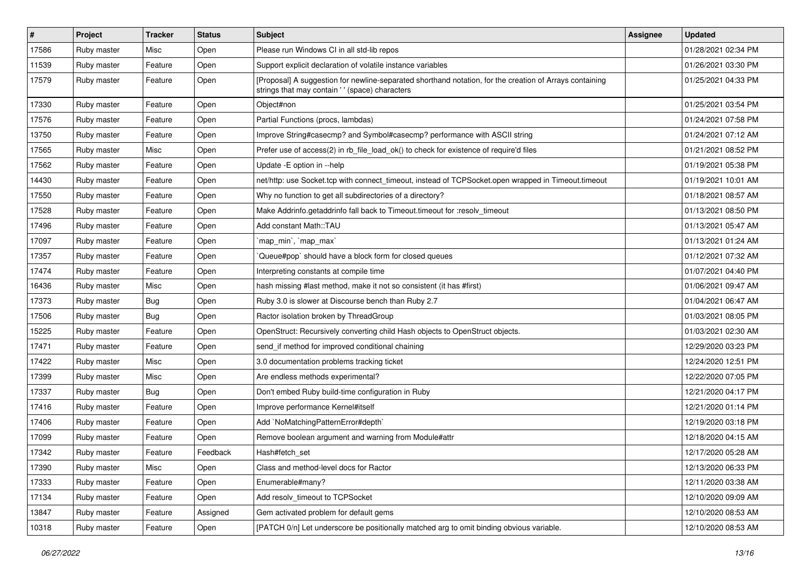| $\vert$ # | Project     | <b>Tracker</b> | <b>Status</b> | <b>Subject</b>                                                                                                                                             | Assignee | <b>Updated</b>      |
|-----------|-------------|----------------|---------------|------------------------------------------------------------------------------------------------------------------------------------------------------------|----------|---------------------|
| 17586     | Ruby master | Misc           | Open          | Please run Windows CI in all std-lib repos                                                                                                                 |          | 01/28/2021 02:34 PM |
| 11539     | Ruby master | Feature        | Open          | Support explicit declaration of volatile instance variables                                                                                                |          | 01/26/2021 03:30 PM |
| 17579     | Ruby master | Feature        | Open          | [Proposal] A suggestion for newline-separated shorthand notation, for the creation of Arrays containing<br>strings that may contain ' ' (space) characters |          | 01/25/2021 04:33 PM |
| 17330     | Ruby master | Feature        | Open          | Object#non                                                                                                                                                 |          | 01/25/2021 03:54 PM |
| 17576     | Ruby master | Feature        | Open          | Partial Functions (procs, lambdas)                                                                                                                         |          | 01/24/2021 07:58 PM |
| 13750     | Ruby master | Feature        | Open          | Improve String#casecmp? and Symbol#casecmp? performance with ASCII string                                                                                  |          | 01/24/2021 07:12 AM |
| 17565     | Ruby master | Misc           | Open          | Prefer use of access(2) in rb_file_load_ok() to check for existence of require'd files                                                                     |          | 01/21/2021 08:52 PM |
| 17562     | Ruby master | Feature        | Open          | Update -E option in --help                                                                                                                                 |          | 01/19/2021 05:38 PM |
| 14430     | Ruby master | Feature        | Open          | net/http: use Socket.tcp with connect_timeout, instead of TCPSocket.open wrapped in Timeout.timeout                                                        |          | 01/19/2021 10:01 AM |
| 17550     | Ruby master | Feature        | Open          | Why no function to get all subdirectories of a directory?                                                                                                  |          | 01/18/2021 08:57 AM |
| 17528     | Ruby master | Feature        | Open          | Make Addrinfo.getaddrinfo fall back to Timeout.timeout for :resolv timeout                                                                                 |          | 01/13/2021 08:50 PM |
| 17496     | Ruby master | Feature        | Open          | Add constant Math::TAU                                                                                                                                     |          | 01/13/2021 05:47 AM |
| 17097     | Ruby master | Feature        | Open          | `map_min`, `map_max`                                                                                                                                       |          | 01/13/2021 01:24 AM |
| 17357     | Ruby master | Feature        | Open          | Queue#pop` should have a block form for closed queues                                                                                                      |          | 01/12/2021 07:32 AM |
| 17474     | Ruby master | Feature        | Open          | Interpreting constants at compile time                                                                                                                     |          | 01/07/2021 04:40 PM |
| 16436     | Ruby master | Misc           | Open          | hash missing #last method, make it not so consistent (it has #first)                                                                                       |          | 01/06/2021 09:47 AM |
| 17373     | Ruby master | Bug            | Open          | Ruby 3.0 is slower at Discourse bench than Ruby 2.7                                                                                                        |          | 01/04/2021 06:47 AM |
| 17506     | Ruby master | Bug            | Open          | Ractor isolation broken by ThreadGroup                                                                                                                     |          | 01/03/2021 08:05 PM |
| 15225     | Ruby master | Feature        | Open          | OpenStruct: Recursively converting child Hash objects to OpenStruct objects.                                                                               |          | 01/03/2021 02:30 AM |
| 17471     | Ruby master | Feature        | Open          | send_if method for improved conditional chaining                                                                                                           |          | 12/29/2020 03:23 PM |
| 17422     | Ruby master | Misc           | Open          | 3.0 documentation problems tracking ticket                                                                                                                 |          | 12/24/2020 12:51 PM |
| 17399     | Ruby master | Misc           | Open          | Are endless methods experimental?                                                                                                                          |          | 12/22/2020 07:05 PM |
| 17337     | Ruby master | <b>Bug</b>     | Open          | Don't embed Ruby build-time configuration in Ruby                                                                                                          |          | 12/21/2020 04:17 PM |
| 17416     | Ruby master | Feature        | Open          | Improve performance Kernel#itself                                                                                                                          |          | 12/21/2020 01:14 PM |
| 17406     | Ruby master | Feature        | Open          | Add `NoMatchingPatternError#depth`                                                                                                                         |          | 12/19/2020 03:18 PM |
| 17099     | Ruby master | Feature        | Open          | Remove boolean argument and warning from Module#attr                                                                                                       |          | 12/18/2020 04:15 AM |
| 17342     | Ruby master | Feature        | Feedback      | Hash#fetch set                                                                                                                                             |          | 12/17/2020 05:28 AM |
| 17390     | Ruby master | Misc           | Open          | Class and method-level docs for Ractor                                                                                                                     |          | 12/13/2020 06:33 PM |
| 17333     | Ruby master | Feature        | Open          | Enumerable#many?                                                                                                                                           |          | 12/11/2020 03:38 AM |
| 17134     | Ruby master | Feature        | Open          | Add resolv_timeout to TCPSocket                                                                                                                            |          | 12/10/2020 09:09 AM |
| 13847     | Ruby master | Feature        | Assigned      | Gem activated problem for default gems                                                                                                                     |          | 12/10/2020 08:53 AM |
| 10318     | Ruby master | Feature        | Open          | [PATCH 0/n] Let underscore be positionally matched arg to omit binding obvious variable.                                                                   |          | 12/10/2020 08:53 AM |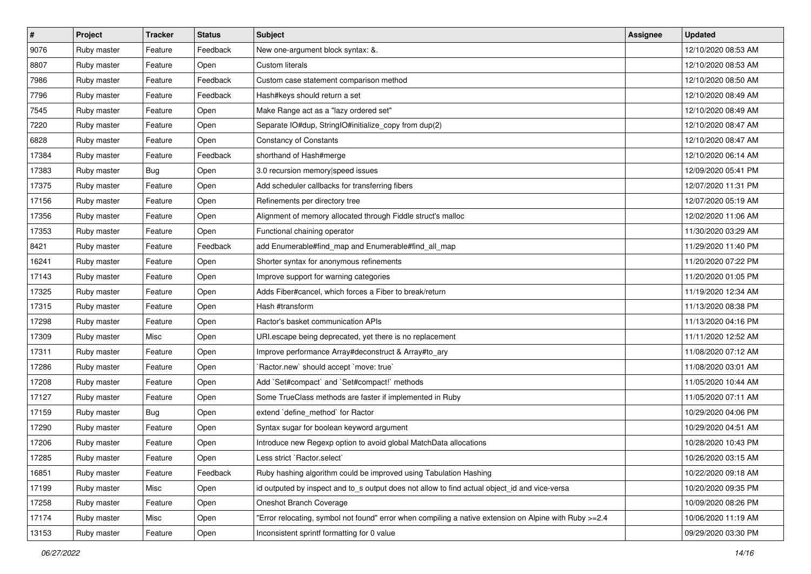| $\pmb{\#}$ | Project     | <b>Tracker</b> | <b>Status</b> | <b>Subject</b>                                                                                         | <b>Assignee</b> | <b>Updated</b>      |
|------------|-------------|----------------|---------------|--------------------------------------------------------------------------------------------------------|-----------------|---------------------|
| 9076       | Ruby master | Feature        | Feedback      | New one-argument block syntax: &.                                                                      |                 | 12/10/2020 08:53 AM |
| 8807       | Ruby master | Feature        | Open          | <b>Custom literals</b>                                                                                 |                 | 12/10/2020 08:53 AM |
| 7986       | Ruby master | Feature        | Feedback      | Custom case statement comparison method                                                                |                 | 12/10/2020 08:50 AM |
| 7796       | Ruby master | Feature        | Feedback      | Hash#keys should return a set                                                                          |                 | 12/10/2020 08:49 AM |
| 7545       | Ruby master | Feature        | Open          | Make Range act as a "lazy ordered set"                                                                 |                 | 12/10/2020 08:49 AM |
| 7220       | Ruby master | Feature        | Open          | Separate IO#dup, StringIO#initialize_copy from dup(2)                                                  |                 | 12/10/2020 08:47 AM |
| 6828       | Ruby master | Feature        | Open          | <b>Constancy of Constants</b>                                                                          |                 | 12/10/2020 08:47 AM |
| 17384      | Ruby master | Feature        | Feedback      | shorthand of Hash#merge                                                                                |                 | 12/10/2020 06:14 AM |
| 17383      | Ruby master | <b>Bug</b>     | Open          | 3.0 recursion memory speed issues                                                                      |                 | 12/09/2020 05:41 PM |
| 17375      | Ruby master | Feature        | Open          | Add scheduler callbacks for transferring fibers                                                        |                 | 12/07/2020 11:31 PM |
| 17156      | Ruby master | Feature        | Open          | Refinements per directory tree                                                                         |                 | 12/07/2020 05:19 AM |
| 17356      | Ruby master | Feature        | Open          | Alignment of memory allocated through Fiddle struct's malloc                                           |                 | 12/02/2020 11:06 AM |
| 17353      | Ruby master | Feature        | Open          | Functional chaining operator                                                                           |                 | 11/30/2020 03:29 AM |
| 8421       | Ruby master | Feature        | Feedback      | add Enumerable#find_map and Enumerable#find_all_map                                                    |                 | 11/29/2020 11:40 PM |
| 16241      | Ruby master | Feature        | Open          | Shorter syntax for anonymous refinements                                                               |                 | 11/20/2020 07:22 PM |
| 17143      | Ruby master | Feature        | Open          | Improve support for warning categories                                                                 |                 | 11/20/2020 01:05 PM |
| 17325      | Ruby master | Feature        | Open          | Adds Fiber#cancel, which forces a Fiber to break/return                                                |                 | 11/19/2020 12:34 AM |
| 17315      | Ruby master | Feature        | Open          | Hash #transform                                                                                        |                 | 11/13/2020 08:38 PM |
| 17298      | Ruby master | Feature        | Open          | Ractor's basket communication APIs                                                                     |                 | 11/13/2020 04:16 PM |
| 17309      | Ruby master | Misc           | Open          | URI.escape being deprecated, yet there is no replacement                                               |                 | 11/11/2020 12:52 AM |
| 17311      | Ruby master | Feature        | Open          | Improve performance Array#deconstruct & Array#to_ary                                                   |                 | 11/08/2020 07:12 AM |
| 17286      | Ruby master | Feature        | Open          | 'Ractor.new' should accept 'move: true'                                                                |                 | 11/08/2020 03:01 AM |
| 17208      | Ruby master | Feature        | Open          | Add `Set#compact` and `Set#compact!` methods                                                           |                 | 11/05/2020 10:44 AM |
| 17127      | Ruby master | Feature        | Open          | Some TrueClass methods are faster if implemented in Ruby                                               |                 | 11/05/2020 07:11 AM |
| 17159      | Ruby master | <b>Bug</b>     | Open          | extend 'define_method' for Ractor                                                                      |                 | 10/29/2020 04:06 PM |
| 17290      | Ruby master | Feature        | Open          | Syntax sugar for boolean keyword argument                                                              |                 | 10/29/2020 04:51 AM |
| 17206      | Ruby master | Feature        | Open          | Introduce new Regexp option to avoid global MatchData allocations                                      |                 | 10/28/2020 10:43 PM |
| 17285      | Ruby master | Feature        | Open          | Less strict `Ractor.select`                                                                            |                 | 10/26/2020 03:15 AM |
| 16851      | Ruby master | Feature        | Feedback      | Ruby hashing algorithm could be improved using Tabulation Hashing                                      |                 | 10/22/2020 09:18 AM |
| 17199      | Ruby master | Misc           | Open          | id outputed by inspect and to s output does not allow to find actual object id and vice-versa          |                 | 10/20/2020 09:35 PM |
| 17258      | Ruby master | Feature        | Open          | Oneshot Branch Coverage                                                                                |                 | 10/09/2020 08:26 PM |
| 17174      | Ruby master | Misc           | Open          | 'Error relocating, symbol not found" error when compiling a native extension on Alpine with Ruby >=2.4 |                 | 10/06/2020 11:19 AM |
| 13153      | Ruby master | Feature        | Open          | Inconsistent sprintf formatting for 0 value                                                            |                 | 09/29/2020 03:30 PM |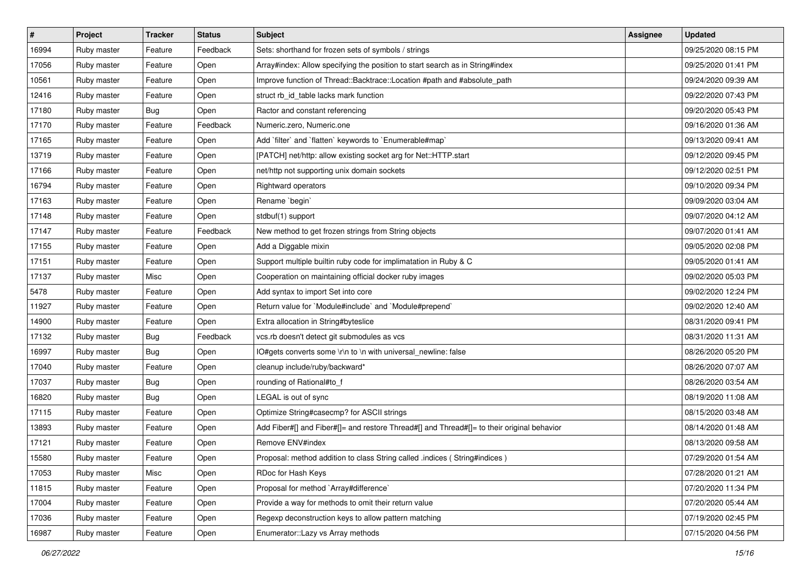| $\vert$ # | Project     | <b>Tracker</b> | <b>Status</b> | Subject                                                                                    | Assignee | <b>Updated</b>      |
|-----------|-------------|----------------|---------------|--------------------------------------------------------------------------------------------|----------|---------------------|
| 16994     | Ruby master | Feature        | Feedback      | Sets: shorthand for frozen sets of symbols / strings                                       |          | 09/25/2020 08:15 PM |
| 17056     | Ruby master | Feature        | Open          | Array#index: Allow specifying the position to start search as in String#index              |          | 09/25/2020 01:41 PM |
| 10561     | Ruby master | Feature        | Open          | Improve function of Thread::Backtrace::Location #path and #absolute_path                   |          | 09/24/2020 09:39 AM |
| 12416     | Ruby master | Feature        | Open          | struct rb_id_table lacks mark function                                                     |          | 09/22/2020 07:43 PM |
| 17180     | Ruby master | Bug            | Open          | Ractor and constant referencing                                                            |          | 09/20/2020 05:43 PM |
| 17170     | Ruby master | Feature        | Feedback      | Numeric.zero, Numeric.one                                                                  |          | 09/16/2020 01:36 AM |
| 17165     | Ruby master | Feature        | Open          | Add `filter` and `flatten` keywords to `Enumerable#map`                                    |          | 09/13/2020 09:41 AM |
| 13719     | Ruby master | Feature        | Open          | [PATCH] net/http: allow existing socket arg for Net::HTTP.start                            |          | 09/12/2020 09:45 PM |
| 17166     | Ruby master | Feature        | Open          | net/http not supporting unix domain sockets                                                |          | 09/12/2020 02:51 PM |
| 16794     | Ruby master | Feature        | Open          | Rightward operators                                                                        |          | 09/10/2020 09:34 PM |
| 17163     | Ruby master | Feature        | Open          | Rename `begin`                                                                             |          | 09/09/2020 03:04 AM |
| 17148     | Ruby master | Feature        | Open          | stdbuf(1) support                                                                          |          | 09/07/2020 04:12 AM |
| 17147     | Ruby master | Feature        | Feedback      | New method to get frozen strings from String objects                                       |          | 09/07/2020 01:41 AM |
| 17155     | Ruby master | Feature        | Open          | Add a Diggable mixin                                                                       |          | 09/05/2020 02:08 PM |
| 17151     | Ruby master | Feature        | Open          | Support multiple builtin ruby code for implimatation in Ruby & C                           |          | 09/05/2020 01:41 AM |
| 17137     | Ruby master | Misc           | Open          | Cooperation on maintaining official docker ruby images                                     |          | 09/02/2020 05:03 PM |
| 5478      | Ruby master | Feature        | Open          | Add syntax to import Set into core                                                         |          | 09/02/2020 12:24 PM |
| 11927     | Ruby master | Feature        | Open          | Return value for `Module#include` and `Module#prepend`                                     |          | 09/02/2020 12:40 AM |
| 14900     | Ruby master | Feature        | Open          | Extra allocation in String#byteslice                                                       |          | 08/31/2020 09:41 PM |
| 17132     | Ruby master | <b>Bug</b>     | Feedback      | vcs.rb doesn't detect git submodules as vcs                                                |          | 08/31/2020 11:31 AM |
| 16997     | Ruby master | <b>Bug</b>     | Open          | IO#gets converts some \r\n to \n with universal_newline: false                             |          | 08/26/2020 05:20 PM |
| 17040     | Ruby master | Feature        | Open          | cleanup include/ruby/backward*                                                             |          | 08/26/2020 07:07 AM |
| 17037     | Ruby master | Bug            | Open          | rounding of Rational#to_f                                                                  |          | 08/26/2020 03:54 AM |
| 16820     | Ruby master | <b>Bug</b>     | Open          | LEGAL is out of sync                                                                       |          | 08/19/2020 11:08 AM |
| 17115     | Ruby master | Feature        | Open          | Optimize String#casecmp? for ASCII strings                                                 |          | 08/15/2020 03:48 AM |
| 13893     | Ruby master | Feature        | Open          | Add Fiber#[] and Fiber#[]= and restore Thread#[] and Thread#[]= to their original behavior |          | 08/14/2020 01:48 AM |
| 17121     | Ruby master | Feature        | Open          | Remove ENV#index                                                                           |          | 08/13/2020 09:58 AM |
| 15580     | Ruby master | Feature        | Open          | Proposal: method addition to class String called .indices (String#indices)                 |          | 07/29/2020 01:54 AM |
| 17053     | Ruby master | Misc           | Open          | RDoc for Hash Keys                                                                         |          | 07/28/2020 01:21 AM |
| 11815     | Ruby master | Feature        | Open          | Proposal for method `Array#difference`                                                     |          | 07/20/2020 11:34 PM |
| 17004     | Ruby master | Feature        | Open          | Provide a way for methods to omit their return value                                       |          | 07/20/2020 05:44 AM |
| 17036     | Ruby master | Feature        | Open          | Regexp deconstruction keys to allow pattern matching                                       |          | 07/19/2020 02:45 PM |
| 16987     | Ruby master | Feature        | Open          | Enumerator::Lazy vs Array methods                                                          |          | 07/15/2020 04:56 PM |